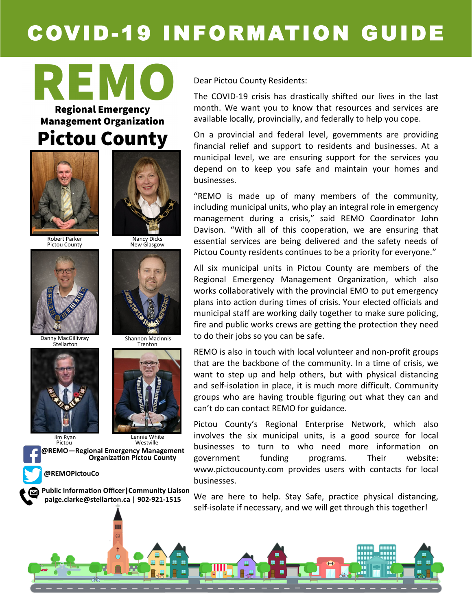# COVID-19 INFORMATION GUIDE

REMO **Regional Emergency Management Organization** 

### **Pictou County**

Nancy Dicks New Glasgow

Shannon MacInnis Trenton

> Westville Lennie White



Robert Parker Pictou County



Danny MacGillivray **Stellarton** 





Pictou



**@REMOPictouCo**

**Public Information Officer|Community Liaison paige.clarke@stellarton.ca | 902-921-1515**

Ш

Dear Pictou County Residents:

The COVID-19 crisis has drastically shifted our lives in the last month. We want you to know that resources and services are available locally, provincially, and federally to help you cope.

On a provincial and federal level, governments are providing financial relief and support to residents and businesses. At a municipal level, we are ensuring support for the services you depend on to keep you safe and maintain your homes and businesses.

"REMO is made up of many members of the community, including municipal units, who play an integral role in emergency management during a crisis," said REMO Coordinator John Davison. "With all of this cooperation, we are ensuring that essential services are being delivered and the safety needs of Pictou County residents continues to be a priority for everyone."

All six municipal units in Pictou County are members of the Regional Emergency Management Organization, which also works collaboratively with the provincial EMO to put emergency plans into action during times of crisis. Your elected officials and municipal staff are working daily together to make sure policing, fire and public works crews are getting the protection they need to do their jobs so you can be safe.

REMO is also in touch with local volunteer and non-profit groups that are the backbone of the community. In a time of crisis, we want to step up and help others, but with physical distancing and self-isolation in place, it is much more difficult. Community groups who are having trouble figuring out what they can and can't do can contact REMO for guidance.

Pictou County's Regional Enterprise Network, which also involves the six municipal units, is a good source for local businesses to turn to who need more information on government funding programs. Their website: www.pictoucounty.com provides users with contacts for local businesses.

We are here to help. Stay Safe, practice physical distancing, self-isolate if necessary, and we will get through this together!

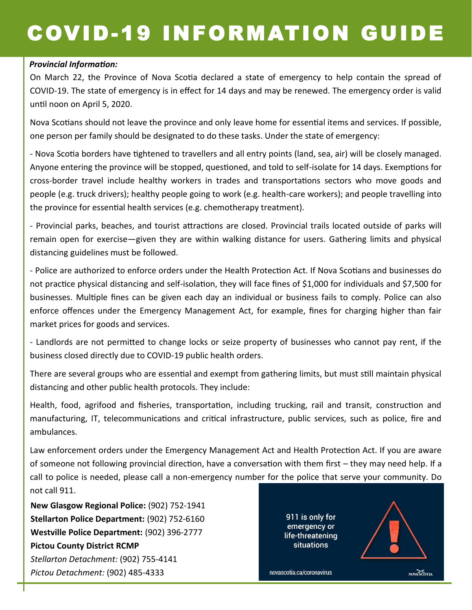## COVID-19 INFORMATION GUIDE

#### *Provincial Information:*

On March 22, the Province of Nova Scotia declared a state of emergency to help contain the spread of COVID-19. The state of emergency is in effect for 14 days and may be renewed. The emergency order is valid until noon on April 5, 2020.

Nova Scotians should not leave the province and only leave home for essential items and services. If possible, one person per family should be designated to do these tasks. Under the state of emergency:

- Nova Scotia borders have tightened to travellers and all entry points (land, sea, air) will be closely managed. Anyone entering the province will be stopped, questioned, and told to self-isolate for 14 days. Exemptions for cross-border travel include healthy workers in trades and transportations sectors who move goods and people (e.g. truck drivers); healthy people going to work (e.g. health-care workers); and people travelling into the province for essential health services (e.g. chemotherapy treatment).

- Provincial parks, beaches, and tourist attractions are closed. Provincial trails located outside of parks will remain open for exercise—given they are within walking distance for users. Gathering limits and physical distancing guidelines must be followed.

- Police are authorized to enforce orders under the Health Protection Act. If Nova Scotians and businesses do not practice physical distancing and self-isolation, they will face fines of \$1,000 for individuals and \$7,500 for businesses. Multiple fines can be given each day an individual or business fails to comply. Police can also enforce offences under the Emergency Management Act, for example, fines for charging higher than fair market prices for goods and services.

- Landlords are not permitted to change locks or seize property of businesses who cannot pay rent, if the business closed directly due to COVID-19 public health orders.

There are several groups who are essential and exempt from gathering limits, but must still maintain physical distancing and other public health protocols. They include:

Health, food, agrifood and fisheries, transportation, including trucking, rail and transit, construction and manufacturing, IT, telecommunications and critical infrastructure, public services, such as police, fire and ambulances.

Law enforcement orders under the Emergency Management Act and Health Protection Act. If you are aware of someone not following provincial direction, have a conversation with them first – they may need help. If a call to police is needed, please call a non-emergency number for the police that serve your community. Do not call 911.

**New Glasgow Regional Police:** (902) 752-1941 **Stellarton Police Department:** (902) 752-6160 **Westville Police Department:** (902) 396-2777 **Pictou County District RCMP** *Stellarton Detachment:* (902) 755-4141 *Pictou Detachment:* (902) 485-4333

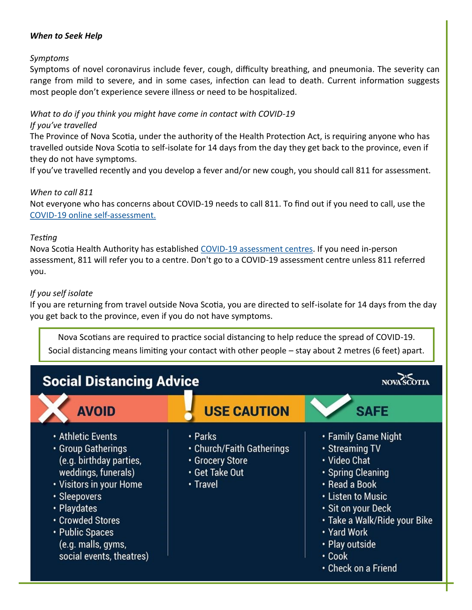#### *When to Seek Help*

#### *Symptoms*

Symptoms of novel coronavirus include fever, cough, difficulty breathing, and pneumonia. The severity can range from mild to severe, and in some cases, infection can lead to death. Current information suggests most people don't experience severe illness or need to be hospitalized.

#### *What to do if you think you might have come in contact with COVID-19*

#### *If you've travelled*

The Province of Nova Scotia, under the authority of the Health Protection Act, is requiring anyone who has travelled outside Nova Scotia to self-isolate for 14 days from the day they get back to the province, even if they do not have symptoms.

If you've travelled recently and you develop a fever and/or new cough, you should call 811 for assessment.

#### *When to call 811*

Not everyone who has concerns about COVID-19 needs to call 811. To find out if you need to call, use the COVID-[19 online self](https://when-to-call-about-covid19.novascotia.ca/en)-assessment.

#### *Testing*

Nova Scotia Health Authority has established COVID-[19 assessment centres.](http://www.nshealth.ca/coronavirus-assessment) If you need in-person assessment, 811 will refer you to a centre. Don't go to a COVID-19 assessment centre unless 811 referred you.

#### *If you self isolate*

If you are returning from travel outside Nova Scotia, you are directed to self-isolate for 14 days from the day you get back to the province, even if you do not have symptoms.

Nova Scotians are required to practice social distancing to help reduce the spread of COVID-19. Social distancing means limiting your contact with other people – stay about 2 metres (6 feet) apart.